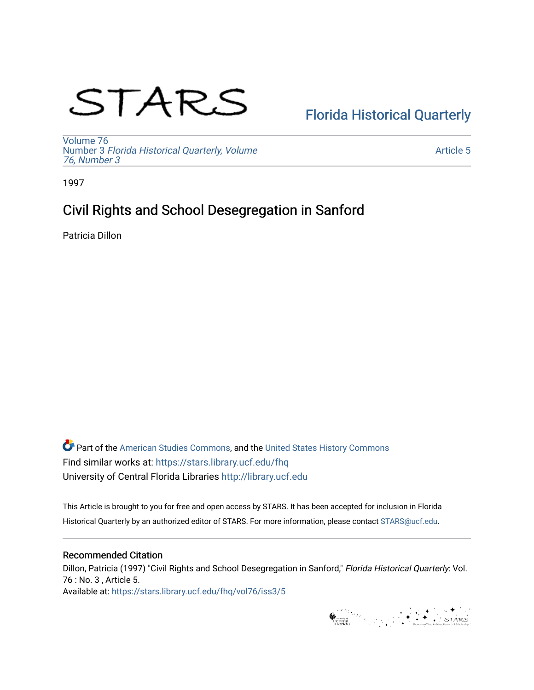# STARS

## [Florida Historical Quarterly](https://stars.library.ucf.edu/fhq)

[Volume 76](https://stars.library.ucf.edu/fhq/vol76) Number 3 [Florida Historical Quarterly, Volume](https://stars.library.ucf.edu/fhq/vol76/iss3)  [76, Number 3](https://stars.library.ucf.edu/fhq/vol76/iss3)

[Article 5](https://stars.library.ucf.edu/fhq/vol76/iss3/5) 

1997

## Civil Rights and School Desegregation in Sanford

Patricia Dillon

**C** Part of the [American Studies Commons](http://network.bepress.com/hgg/discipline/439?utm_source=stars.library.ucf.edu%2Ffhq%2Fvol76%2Fiss3%2F5&utm_medium=PDF&utm_campaign=PDFCoverPages), and the United States History Commons Find similar works at: <https://stars.library.ucf.edu/fhq> University of Central Florida Libraries [http://library.ucf.edu](http://library.ucf.edu/) 

This Article is brought to you for free and open access by STARS. It has been accepted for inclusion in Florida Historical Quarterly by an authorized editor of STARS. For more information, please contact [STARS@ucf.edu.](mailto:STARS@ucf.edu)

### Recommended Citation

Dillon, Patricia (1997) "Civil Rights and School Desegregation in Sanford," Florida Historical Quarterly: Vol. 76 : No. 3 , Article 5. Available at: [https://stars.library.ucf.edu/fhq/vol76/iss3/5](https://stars.library.ucf.edu/fhq/vol76/iss3/5?utm_source=stars.library.ucf.edu%2Ffhq%2Fvol76%2Fiss3%2F5&utm_medium=PDF&utm_campaign=PDFCoverPages) 

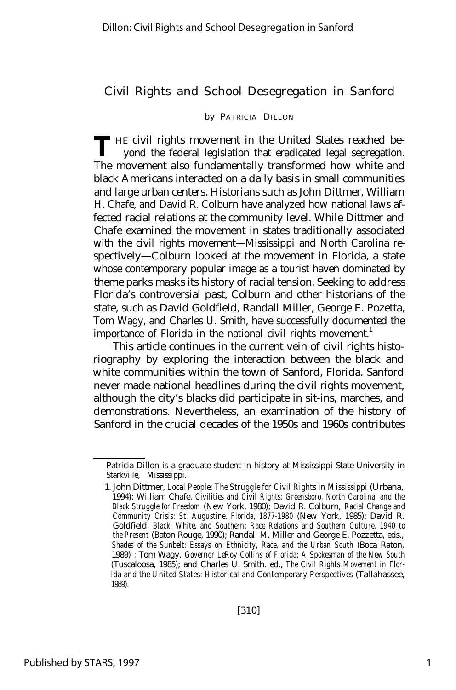Civil Rights and School Desegregation in Sanford

#### *by* PATRICIA DILLON

THE civil rights movement in the United States reached be-<br>
yond the federal legislation that eradicated legal segregation. yond the federal legislation that eradicated legal segregation. The movement also fundamentally transformed how white and black Americans interacted on a daily basis in small communities and large urban centers. Historians such as John Dittmer, William H. Chafe, and David R. Colburn have analyzed how national laws affected racial relations at the community level. While Dittmer and Chafe examined the movement in states traditionally associated with the civil rights movement— Mississippi and North Carolina respectively— Colburn looked at the movement in Florida, a state whose contemporary popular image as a tourist haven dominated by theme parks masks its history of racial tension. Seeking to address Florida's controversial past, Colburn and other historians of the state, such as David Goldfield, Randall Miller, George E. Pozetta, Tom Wagy, and Charles U. Smith, have successfully documented the importance of Florida in the national civil rights movement.<sup>1</sup>

This article continues in the current vein of civil rights historiography by exploring the interaction between the black and white communities within the town of Sanford, Florida. Sanford never made national headlines during the civil rights movement, although the city's blacks did participate in sit-ins, marches, and demonstrations. Nevertheless, an examination of the history of Sanford in the crucial decades of the 1950s and 1960s contributes

Patricia Dillon is a graduate student in history at Mississippi State University in Starkville, Mississippi.

<sup>1.</sup> John Dittmer, *Local People: The Struggle for Civil Rights in Mississippi* (Urbana, 1994); William Chafe, *Civilities and Civil Rights: Greensboro, North Carolina, and the Black Struggle for Freedom* (New York, 1980); David R. Colburn, *Racial Change and Community Crisis: St. Augustine, Florida, 1877-1980* (New York, 1985); David R. Goldfield, *Black, White, and Southern: Race Relations and Southern Culture, 1940 to the Present* (Baton Rouge, 1990); Randall M. Miller and George E. Pozzetta, eds., *Shades of the Sunbelt: Essays on Ethnicity, Race, and the Urban South* (Boca Raton, 1989) *;* Tom Wagy, *Governor LeRoy Collins of Florida: A Spokesman of the New South* (Tuscaloosa, 1985); and Charles U. Smith. ed., *The Civil Rights Movement in Florida and the United States: Historical and Contemporary Perspectives* (Tallahassee, 1989).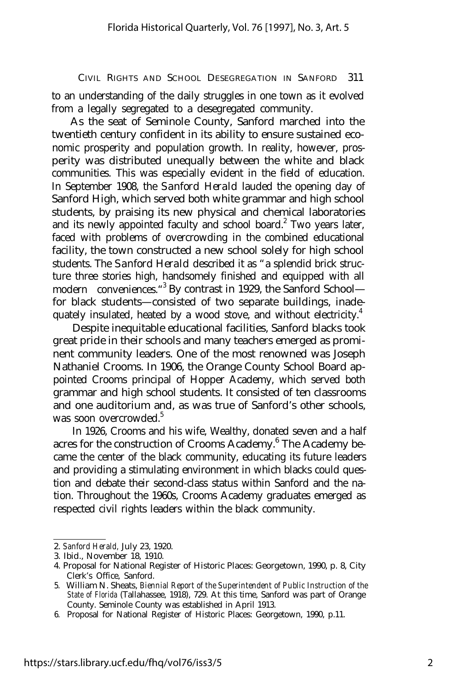to an understanding of the daily struggles in one town as it evolved from a legally segregated to a desegregated community.

As the seat of Seminole County, Sanford marched into the twentieth century confident in its ability to ensure sustained economic prosperity and population growth. In reality, however, prosperity was distributed unequally between the white and black communities. This was especially evident in the field of education. In September 1908, the *Sanford Herald* lauded the opening day of Sanford High, which served both white grammar and high school students, by praising its new physical and chemical laboratories and its newly appointed faculty and school board. $2$  Two years later, faced with problems of overcrowding in the combined educational facility, the town constructed a new school solely for high school students. The *Sanford Herald* described it as "a splendid brick structure three stories high, handsomely finished and equipped with all modern conveniences." <sup>3</sup> By contrast in 1929, the Sanford School for black students— consisted of two separate buildings, inadequately insulated, heated by a wood stove, and without electricity.<sup>4</sup>

Despite inequitable educational facilities, Sanford blacks took great pride in their schools and many teachers emerged as prominent community leaders. One of the most renowned was Joseph Nathaniel Crooms. In 1906, the Orange County School Board appointed Crooms principal of Hopper Academy, which served both grammar and high school students. It consisted of ten classrooms and one auditorium and, as was true of Sanford's other schools, was soon overcrowded.<sup>5</sup>

In 1926, Crooms and his wife, Wealthy, donated seven and a half acres for the construction of Crooms Academy.<sup>6</sup> The Academy became the center of the black community, educating its future leaders and providing a stimulating environment in which blacks could question and debate their second-class status within Sanford and the nation. Throughout the 1960s, Crooms Academy graduates emerged as respected civil rights leaders within the black community.

<sup>2.</sup> *Sanford Herald,* July 23, 1920.

<sup>3.</sup> Ibid., November 18, 1910.

<sup>4.</sup> Proposal for National Register of Historic Places: Georgetown, 1990, p. 8, City Clerk's Office, Sanford.

<sup>5.</sup> William N. Sheats, *Biennial Report of the Superintendent of Public Instruction of the State of Florida* (Tallahassee, 1918), 729. At this time, Sanford was part of Orange County. Seminole County was established in April 1913.

<sup>6.</sup> Proposal for National Register of Historic Places: Georgetown, 1990, p.11.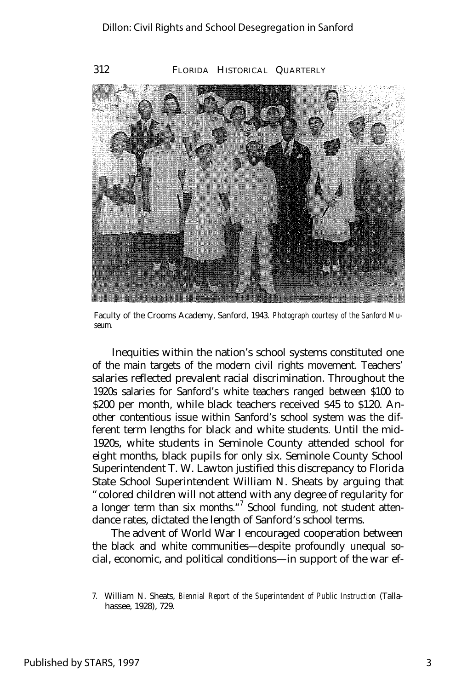

Faculty of the Crooms Academy, Sanford, 1943. *Photograph courtesy of the Sanford Mu*seum.

Inequities within the nation's school systems constituted one of the main targets of the modern civil rights movement. Teachers' salaries reflected prevalent racial discrimination. Throughout the 1920s salaries for Sanford's white teachers ranged between \$100 to \$200 per month, while black teachers received \$45 to \$120. Another contentious issue within Sanford's school system was the different term lengths for black and white students. Until the mid-1920s, white students in Seminole County attended school for eight months, black pupils for only six. Seminole County School Superintendent T. W. Lawton justified this discrepancy to Florida State School Superintendent William N. Sheats by arguing that "colored children will not attend with any degree of regularity for a longer term than six months. "<sup>7</sup> School funding, not student attendance rates, dictated the length of Sanford's school terms.

The advent of World War I encouraged cooperation between the black and white communities— despite profoundly unequal social, economic, and political conditions— in support of the war ef-

<sup>7.</sup> William N. Sheats, *Biennial Report of the Superintendent of Public Instruction* (Tallahassee, 1928), 729.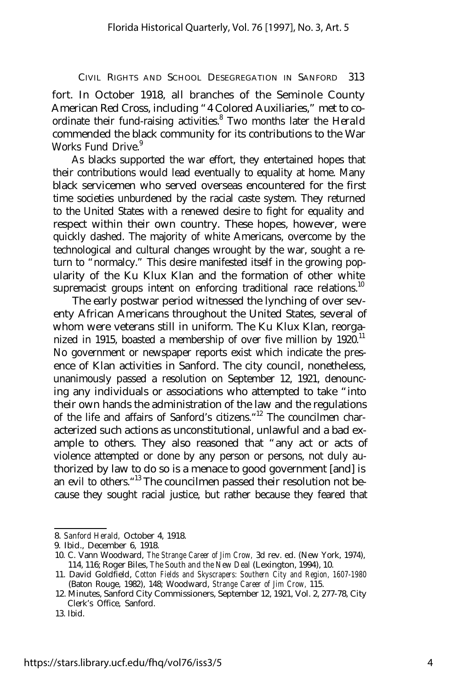fort. In October 1918, all branches of the Seminole County American Red Cross, including "4 Colored Auxiliaries," met to coordinate their fund-raising activities.<sup>8</sup> Two months later the *Herald* commended the black community for its contributions to the War Works Fund Drive<sup>9</sup>

As blacks supported the war effort, they entertained hopes that their contributions would lead eventually to equality at home. Many black servicemen who served overseas encountered for the first time societies unburdened by the racial caste system. They returned to the United States with a renewed desire to fight for equality and respect within their own country. These hopes, however, were quickly dashed. The majority of white Americans, overcome by the technological and cultural changes wrought by the war, sought a return to "normalcy." This desire manifested itself in the growing popularity of the Ku Klux Klan and the formation of other white supremacist groups intent on enforcing traditional race relations.<sup>10</sup>

The early postwar period witnessed the lynching of over seventy African Americans throughout the United States, several of whom were veterans still in uniform. The Ku Klux Klan, reorganized in 1915, boasted a membership of over five million by  $1920$ <sup>11</sup> No government or newspaper reports exist which indicate the presence of Klan activities in Sanford. The city council, nonetheless, unanimously passed a resolution on September 12, 1921, denouncing any individuals or associations who attempted to take "into their own hands the administration of the law and the regulations of the life and affairs of Sanford's citizens. "<sup>12</sup> The councilmen characterized such actions as unconstitutional, unlawful and a bad example to others. They also reasoned that "any act or acts of violence attempted or done by any person or persons, not duly authorized by law to do so is a menace to good government [and] is an evil to others. "<sup>13</sup> The councilmen passed their resolution not because they sought racial justice, but rather because they feared that

<sup>8.</sup> *Sanford Herald,* October 4, 1918.

<sup>9.</sup> Ibid., December 6, 1918.

<sup>10.</sup> C. Vann Woodward, *The Strange Career of Jim Crow,* 3d rev. ed. (New York, 1974), 114, 116; Roger Biles, *The South and the New Deal* (Lexington, 1994), 10.

<sup>11.</sup> David Goldfield, *Cotton Fields and Skyscrapers: Southern City and Region, 1607-1980* (Baton Rouge, 1982), 148; Woodward, *Strange Career of Jim Crow,* 115.

<sup>12.</sup> Minutes, Sanford City Commissioners, September 12, 1921, Vol. 2, 277-78, City Clerk's Office, Sanford.

<sup>13.</sup> Ibid.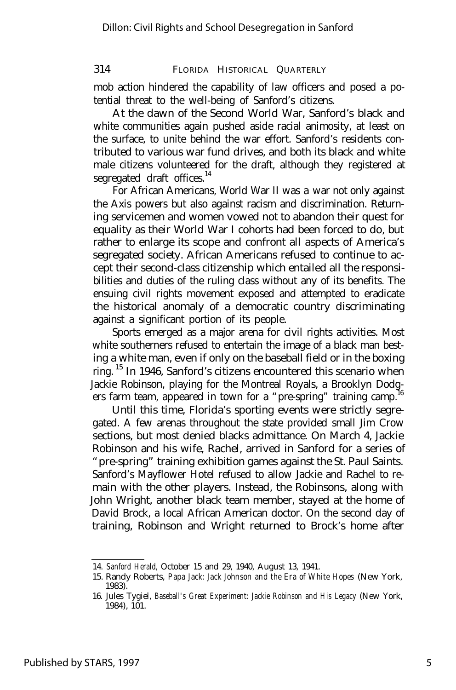mob action hindered the capability of law officers and posed a potential threat to the well-being of Sanford's citizens.

At the dawn of the Second World War, Sanford's black and white communities again pushed aside racial animosity, at least on the surface, to unite behind the war effort. Sanford's residents contributed to various war fund drives, and both its black and white male citizens volunteered for the draft, although they registered at segregated draft offices. $14$ 

For African Americans, World War II was a war not only against the Axis powers but also against racism and discrimination. Returning servicemen and women vowed not to abandon their quest for equality as their World War I cohorts had been forced to do, but rather to enlarge its scope and confront all aspects of America's segregated society. African Americans refused to continue to accept their second-class citizenship which entailed all the responsibilities and duties of the ruling class without any of its benefits. The ensuing civil rights movement exposed and attempted to eradicate the historical anomaly of a democratic country discriminating against a significant portion of its people.

Sports emerged as a major arena for civil rights activities. Most white southerners refused to entertain the image of a black man besting a white man, even if only on the baseball field or in the boxing ring. <sup>15</sup> In 1946, Sanford's citizens encountered this scenario when Jackie Robinson, playing for the Montreal Royals, a Brooklyn Dodgers farm team, appeared in town for a "pre-spring" training camp.<sup>16</sup>

Until this time, Florida's sporting events were strictly segregated. A few arenas throughout the state provided small Jim Crow sections, but most denied blacks admittance. On March 4, Jackie Robinson and his wife, Rachel, arrived in Sanford for a series of "pre-spring" training exhibition games against the St. Paul Saints. Sanford's Mayflower Hotel refused to allow Jackie and Rachel to remain with the other players. Instead, the Robinsons, along with John Wright, another black team member, stayed at the home of David Brock, a local African American doctor. On the second day of training, Robinson and Wright returned to Brock's home after

<sup>14.</sup> *Sanford Herald,* October 15 and 29, 1940, August 13, 1941.

<sup>15.</sup> Randy Roberts, *Papa Jack: Jack Johnson and the Era of White Hopes* (New York, 1983).

<sup>16.</sup> Jules Tygiel, *Baseball's Great Experiment: Jackie Robinson and His Legacy* (New York, 1984), 101.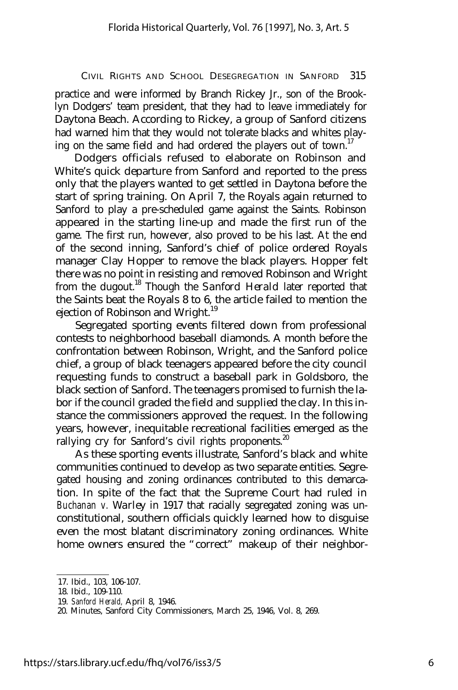practice and were informed by Branch Rickey Jr., son of the Brooklyn Dodgers' team president, that they had to leave immediately for Daytona Beach. According to Rickey, a group of Sanford citizens had warned him that they would not tolerate blacks and whites playing on the same field and had ordered the players out of town.<sup>17</sup>

Dodgers officials refused to elaborate on Robinson and White's quick departure from Sanford and reported to the press only that the players wanted to get settled in Daytona before the start of spring training. On April 7, the Royals again returned to Sanford to play a pre-scheduled game against the Saints. Robinson appeared in the starting line-up and made the first run of the game. The first run, however, also proved to be his last. At the end of the second inning, Sanford's chief of police ordered Royals manager Clay Hopper to remove the black players. Hopper felt there was no point in resisting and removed Robinson and Wright from the dugout.<sup>18</sup> Though the *Sanford Herald* later reported that the Saints beat the Royals 8 to 6, the article failed to mention the ejection of Robinson and Wright.<sup>19</sup>

Segregated sporting events filtered down from professional contests to neighborhood baseball diamonds. A month before the confrontation between Robinson, Wright, and the Sanford police chief, a group of black teenagers appeared before the city council requesting funds to construct a baseball park in Goldsboro, the black section of Sanford. The teenagers promised to furnish the labor if the council graded the field and supplied the clay. In this instance the commissioners approved the request. In the following years, however, inequitable recreational facilities emerged as the rallying cry for Sanford's civil rights proponents.<sup>20</sup>

As these sporting events illustrate, Sanford's black and white communities continued to develop as two separate entities. Segregated housing and zoning ordinances contributed to this demarcation. In spite of the fact that the Supreme Court had ruled in *Buchanan v. Warley* in 1917 that racially segregated zoning was unconstitutional, southern officials quickly learned how to disguise even the most blatant discriminatory zoning ordinances. White home owners ensured the "correct" makeup of their neighbor-

<sup>17.</sup> Ibid., 103, 106-107.

<sup>18.</sup> Ibid., 109-110.

<sup>19.</sup> *Sanford Herald,* April 8, 1946.

<sup>20.</sup> Minutes, Sanford City Commissioners, March 25, 1946, Vol. 8, 269.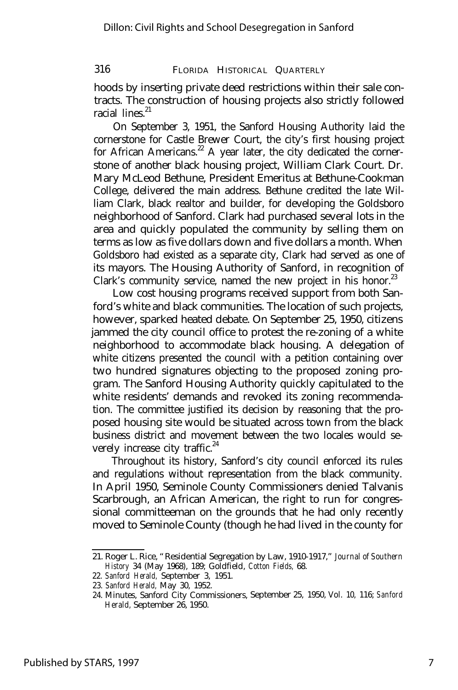hoods by inserting private deed restrictions within their sale contracts. The construction of housing projects also strictly followed racial lines $21$ 

On September 3, 1951, the Sanford Housing Authority laid the cornerstone for Castle Brewer Court, the city's first housing project for African Americans.<sup>22</sup> A year later, the city dedicated the cornerstone of another black housing project, William Clark Court. Dr. Mary McLeod Bethune, President Emeritus at Bethune-Cookman College, delivered the main address. Bethune credited the late William Clark, black realtor and builder, for developing the Goldsboro neighborhood of Sanford. Clark had purchased several lots in the area and quickly populated the community by selling them on terms as low as five dollars down and five dollars a month. When Goldsboro had existed as a separate city, Clark had served as one of its mayors. The Housing Authority of Sanford, in recognition of Clark's community service, named the new project in his honor.<sup>23</sup>

Low cost housing programs received support from both Sanford's white and black communities. The location of such projects, however, sparked heated debate. On September 25, 1950, citizens jammed the city council office to protest the re-zoning of a white neighborhood to accommodate black housing. A delegation of white citizens presented the council with a petition containing over two hundred signatures objecting to the proposed zoning program. The Sanford Housing Authority quickly capitulated to the white residents' demands and revoked its zoning recommendation. The committee justified its decision by reasoning that the proposed housing site would be situated across town from the black business district and movement between the two locales would severely increase city traffic. $24$ 

Throughout its history, Sanford's city council enforced its rules and regulations without representation from the black community. In April 1950, Seminole County Commissioners denied Talvanis Scarbrough, an African American, the right to run for congressional committeeman on the grounds that he had only recently moved to Seminole County (though he had lived in the county for

<sup>21.</sup> Roger L. Rice, "Residential Segregation by Law, 1910-1917," *Journal of Southern History* 34 (May 1968), 189; Goldfield, *Cotton Fields,* 68.

<sup>22.</sup> *Sanford Herald,* September 3, 1951.

<sup>23.</sup> *Sanford Herald,* May 30, 1952.

<sup>24.</sup> Minutes, Sanford City Commissioners, September 25, 1950, Vol. 10, 116; *Sanford Herald,* September 26, 1950.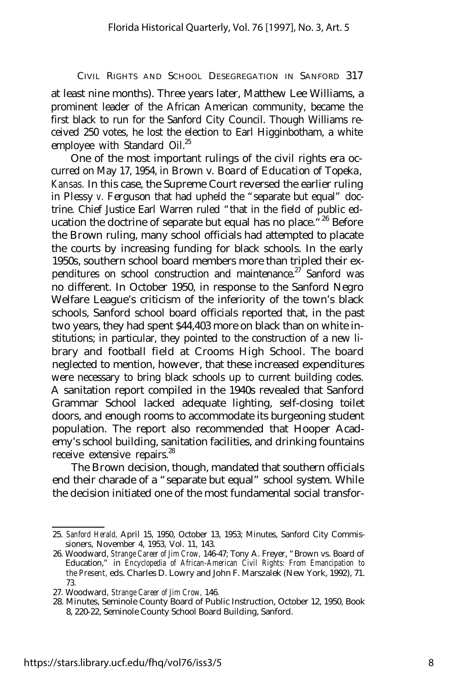at least nine months). Three years later, Matthew Lee Williams, a prominent leader of the African American community, became the first black to run for the Sanford City Council. Though Williams received 250 votes, he lost the election to Earl Higginbotham, a white employee with Standard Oil.<sup>25</sup>

One of the most important rulings of the civil rights era occurred on May 17, 1954, in *Brown v. Board of Education of Topeka, Kansas.* In this case, the Supreme Court reversed the earlier ruling in *Plessy v. Ferguson* that had upheld the "separate but equal" doctrine. Chief Justice Earl Warren ruled "that in the field of public education the doctrine of separate but equal has no place.<sup>"26</sup> Before the *Brown* ruling, many school officials had attempted to placate the courts by increasing funding for black schools. In the early 1950s, southern school board members more than tripled their expenditures on school construction and maintenance.<sup>27</sup> Sanford was no different. In October 1950, in response to the Sanford Negro Welfare League's criticism of the inferiority of the town's black schools, Sanford school board officials reported that, in the past two years, they had spent \$44,403 more on black than on white institutions; in particular, they pointed to the construction of a new library and football field at Crooms High School. The board neglected to mention, however, that these increased expenditures were necessary to bring black schools up to current building codes. A sanitation report compiled in the 1940s revealed that Sanford Grammar School lacked adequate lighting, self-closing toilet doors, and enough rooms to accommodate its burgeoning student population. The report also recommended that Hooper Academy's school building, sanitation facilities, and drinking fountains receive extensive repairs.<sup>28</sup>

The *Brown* decision, though, mandated that southern officials end their charade of a "separate but equal" school system. While the decision initiated one of the most fundamental social transfor-

<sup>25.</sup> *Sanford Herald,* April 15, 1950, October 13, 1953; Minutes, Sanford City Commissioners, November 4, 1953, Vol. 11, 143.

<sup>26.</sup> Woodward, *Strange Career of Jim Crow,* 146-47; Tony A. Freyer, "Brown vs. Board of Education," in *Encyclopedia of African-American Civil Rights: From Emancipation to the Present,* eds. Charles D. Lowry and John F. Marszalek (New York, 1992), 71. 73.

<sup>27.</sup> Woodward, *Strange Career of Jim Crow,* 146.

<sup>28.</sup> Minutes, Seminole County Board of Public Instruction, October 12, 1950, Book 8, 220-22, Seminole County School Board Building, Sanford.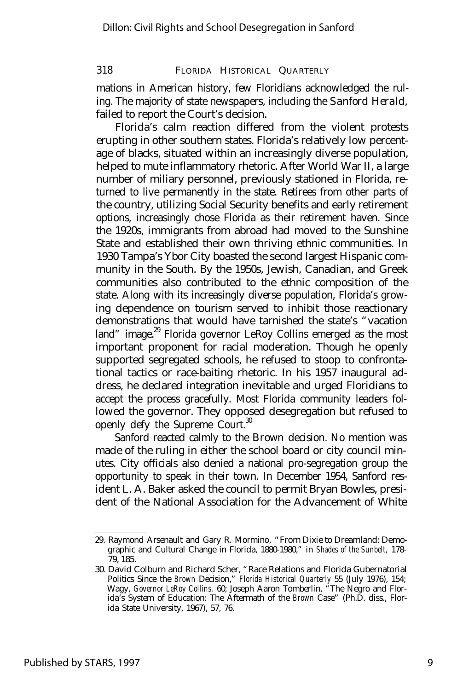mations in American history, few Floridians acknowledged the ruling. The majority of state newspapers, including the *Sanford Herald,* failed to report the Court's decision.

Florida's calm reaction differed from the violent protests erupting in other southern states. Florida's relatively low percentage of blacks, situated within an increasingly diverse population, helped to mute inflammatory rhetoric. After World War II, a large number of miliary personnel, previously stationed in Florida, returned to live permanently in the state. Retirees from other parts of the country, utilizing Social Security benefits and early retirement options, increasingly chose Florida as their retirement haven. Since the 1920s, immigrants from abroad had moved to the Sunshine State and established their own thriving ethnic communities. In 1930 Tampa's Ybor City boasted the second largest Hispanic community in the South. By the 1950s, Jewish, Canadian, and Greek communities also contributed to the ethnic composition of the state. Along with its increasingly diverse population, Florida's growing dependence on tourism served to inhibit those reactionary demonstrations that would have tarnished the state's "vacation land" image.<sup>29</sup> Florida governor LeRoy Collins emerged as the most important proponent for racial moderation. Though he openly supported segregated schools, he refused to stoop to confrontational tactics or race-baiting rhetoric. In his 1957 inaugural address, he declared integration inevitable and urged Floridians to accept the process gracefully. Most Florida community leaders followed the governor. They opposed desegregation but refused to openly defy the Supreme Court.<sup>30</sup>

Sanford reacted calmly to the *Brown* decision. No mention was made of the ruling in either the school board or city council minutes. City officials also denied a national pro-segregation group the opportunity to speak in their town. In December 1954, Sanford resident L. A. Baker asked the council to permit Bryan Bowles, president of the National Association for the Advancement of White

<sup>29.</sup> Raymond Arsenault and Gary R. Mormino, "From Dixie to Dreamland: Demographic and Cultural Change in Florida, 1880-1980," in *Shades of the Sunbelt,* 178- 79, 185.

<sup>30.</sup> David Colburn and Richard Scher, "Race Relations and Florida Gubernatorial Politics Since the *Brown* Decision," *Florida Historical Quarterly* 55 (July 1976), 154; Wagy, *Governor LeRoy Collins,* 60; Joseph Aaron Tomberlin, "The Negro and Florida's System of Education: The Aftermath of the *Brown* Case" (Ph.D. diss., Florida State University, 1967), 57, 76.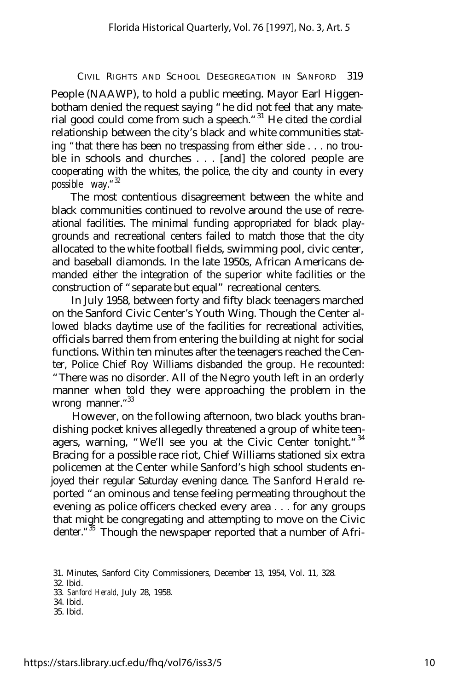People (NAAWP), to hold a public meeting. Mayor Earl Higgenbotham denied the request saying "he did not feel that any material good could come from such a speech."<sup>31</sup> He cited the cordial relationship between the city's black and white communities stating "that there has been no trespassing from either side . . . no trouble in schools and churches . . . [and] the colored people are cooperating with the whites, the police, the city and county in every possible way."<sup>32</sup>

The most contentious disagreement between the white and black communities continued to revolve around the use of recreational facilities. The minimal funding appropriated for black playgrounds and recreational centers failed to match those that the city allocated to the white football fields, swimming pool, civic center, and baseball diamonds. In the late 1950s, African Americans demanded either the integration of the superior white facilities or the construction of "separate but equal" recreational centers.

In July 1958, between forty and fifty black teenagers marched on the Sanford Civic Center's Youth Wing. Though the Center allowed blacks daytime use of the facilities for recreational activities, officials barred them from entering the building at night for social functions. Within ten minutes after the teenagers reached the Center, Police Chief Roy Williams disbanded the group. He recounted: "There was no disorder. All of the Negro youth left in an orderly manner when told they were approaching the problem in the wrong manner."33

However, on the following afternoon, two black youths brandishing pocket knives allegedly threatened a group of white teenagers, warning, "We'll see you at the Civic Center tonight. "34 Bracing for a possible race riot, Chief Williams stationed six extra policemen at the Center while Sanford's high school students enjoyed their regular Saturday evening dance. The *Sanford Herald* reported "an ominous and tense feeling permeating throughout the evening as police officers checked every area . . . for any groups that might be congregating and attempting to move on the Civic denter."<sup>35</sup> Though the newspaper reported that a number of Afri-

<sup>31.</sup> Minutes, Sanford City Commissioners, December 13, 1954, Vol. 11, 328.

<sup>32.</sup> Ibid.

<sup>33.</sup> *Sanford Herald,* July 28, 1958.

<sup>34.</sup> Ibid.

<sup>35.</sup> Ibid.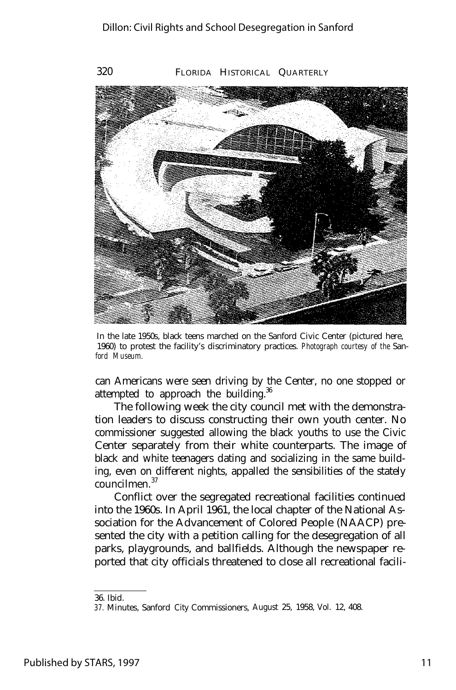#### Dillon: Civil Rights and School Desegregation in Sanford



In the late 1950s, black teens marched on the Sanford Civic Center (pictured here, 1960) to protest the facility's discriminatory practices. *Photograph courtesy of the* San*ford Museum.*

can Americans were seen driving by the Center, no one stopped or attempted to approach the building. $36$ 

The following week the city council met with the demonstration leaders to discuss constructing their own youth center. No commissioner suggested allowing the black youths to use the Civic Center separately from their white counterparts. The image of black and white teenagers dating and socializing in the same building, even on different nights, appalled the sensibilities of the stately councilmen.<sup>37</sup>

Conflict over the segregated recreational facilities continued into the 1960s. In April 1961, the local chapter of the National Association for the Advancement of Colored People (NAACP) presented the city with a petition calling for the desegregation of all parks, playgrounds, and ballfields. Although the newspaper reported that city officials threatened to close all recreational facili-

<sup>36.</sup> Ibid.

*<sup>37.</sup>* Minutes, Sanford City Commissioners, August 25, 1958, Vol. 12, 408.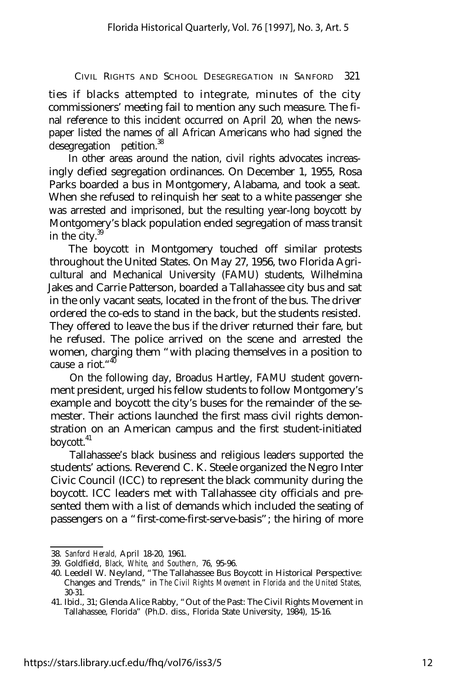ties if blacks attempted to integrate, minutes of the city commissioners' meeting fail to mention any such measure. The final reference to this incident occurred on April 20, when the newspaper listed the names of all African Americans who had signed the desegregation petition.<sup>38</sup>

In other areas around the nation, civil rights advocates increasingly defied segregation ordinances. On December 1, 1955, Rosa Parks boarded a bus in Montgomery, Alabama, and took a seat. When she refused to relinquish her seat to a white passenger she was arrested and imprisoned, but the resulting year-long boycott by Montgomery's black population ended segregation of mass transit in the city. $39$ 

The boycott in Montgomery touched off similar protests throughout the United States. On May 27, 1956, two Florida Agricultural and Mechanical University (FAMU) students, Wilhelmina Jakes and Carrie Patterson, boarded a Tallahassee city bus and sat in the only vacant seats, located in the front of the bus. The driver ordered the co-eds to stand in the back, but the students resisted. They offered to leave the bus if the driver returned their fare, but he refused. The police arrived on the scene and arrested the women, charging them "with placing themselves in a position to cause a riot."<sup>40</sup>

On the following day, Broadus Hartley, FAMU student government president, urged his fellow students to follow Montgomery's example and boycott the city's buses for the remainder of the semester. Their actions launched the first mass civil rights demonstration on an American campus and the first student-initiated boycott.<sup>41</sup>

Tallahassee's black business and religious leaders supported the students' actions. Reverend C. K. Steele organized the Negro Inter Civic Council (ICC) to represent the black community during the boycott. ICC leaders met with Tallahassee city officials and presented them with a list of demands which included the seating of passengers on a "first-come-first-serve-basis"; the hiring of more

<sup>38.</sup> *Sanford Herald,* April 18-20, 1961.

<sup>39.</sup> Goldfield, *Black, White, and Southern,* 76, 95-96.

<sup>40.</sup> Leedell W. Neyland, "The Tallahassee Bus Boycott in Historical Perspective: Changes and Trends," in *The Civil Rights Movement* in *Florida and the United States,* 30-31.

<sup>41.</sup> Ibid., 31; Glenda Alice Rabby, "Out of the Past: The Civil Rights Movement in Tallahassee, Florida" (Ph.D. diss., Florida State University, 1984), 15-16.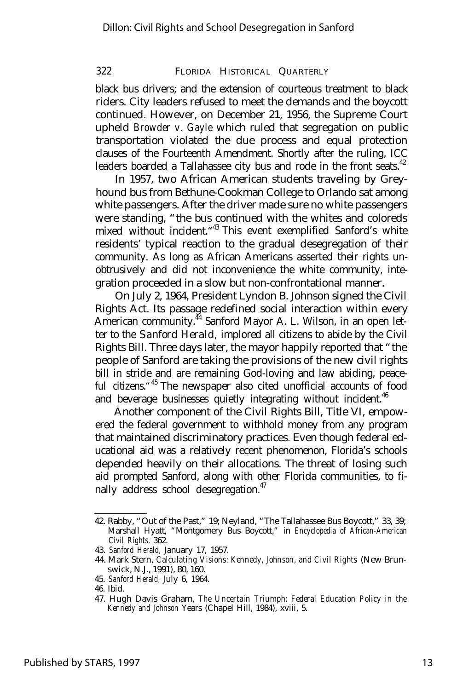black bus drivers; and the extension of courteous treatment to black riders. City leaders refused to meet the demands and the boycott continued. However, on December 21, 1956, the Supreme Court upheld *Browder v. Gayle* which ruled that segregation on public transportation violated the due process and equal protection clauses of the Fourteenth Amendment. Shortly after the ruling, ICC leaders boarded a Tallahassee city bus and rode in the front seats.<sup>42</sup>

In 1957, two African American students traveling by Greyhound bus from Bethune-Cookman College to Orlando sat among white passengers. After the driver made sure no white passengers were standing, "the bus continued with the whites and coloreds mixed without incident."<sup>43</sup> This event exemplified Sanford's white residents' typical reaction to the gradual desegregation of their community. As long as African Americans asserted their rights unobtrusively and did not inconvenience the white community, integration proceeded in a slow but non-confrontational manner.

On July 2, 1964, President Lyndon B. Johnson signed the Civil Rights Act. Its passage redefined social interaction within every American community.<sup>14</sup> Sanford Mayor A. L. Wilson, in an open letter to the *Sanford Herald,* implored all citizens to abide by the Civil Rights Bill. Three days later, the mayor happily reported that "the people of Sanford are taking the provisions of the new civil rights bill in stride and are remaining God-loving and law abiding, peaceful citizens."<sup>45</sup> The newspaper also cited unofficial accounts of food and beverage businesses quietly integrating without incident.<sup>46</sup>

Another component of the Civil Rights Bill, Title VI, empowered the federal government to withhold money from any program that maintained discriminatory practices. Even though federal educational aid was a relatively recent phenomenon, Florida's schools depended heavily on their allocations. The threat of losing such aid prompted Sanford, along with other Florida communities, to finally address school desegregation.<sup>47</sup>

<sup>42.</sup> Rabby, "Out of the Past," 19; Neyland, "The Tallahassee Bus Boycott," 33, 39; Marshall Hyatt, "Montgomery Bus Boycott," in *Encyclopedia of African-American Civil Rights,* 362.

<sup>43.</sup> *Sanford Herald,* January 17, 1957.

<sup>44.</sup> Mark Stern, *Calculating Visions: Kennedy, Johnson, and Civil Rights* (New Brunswick, N.J., 1991), 80, 160.

<sup>45.</sup> *Sanford Herald,* July 6, 1964.

<sup>46.</sup> Ibid.

<sup>47.</sup> Hugh Davis Graham, *The Uncertain Triumph: Federal Education Policy in the Kennedy and Johnson* Years (Chapel Hill, 1984), xviii, 5.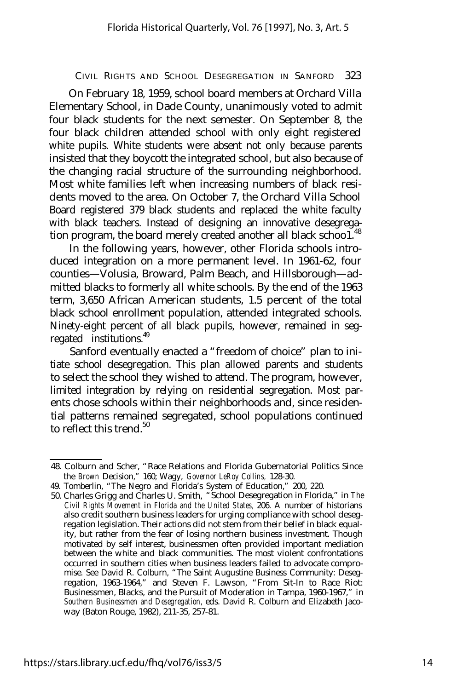On February 18, 1959, school board members at Orchard Villa Elementary School, in Dade County, unanimously voted to admit four black students for the next semester. On September 8, the four black children attended school with only eight registered white pupils. White students were absent not only because parents insisted that they boycott the integrated school, but also because of the changing racial structure of the surrounding neighborhood. Most white families left when increasing numbers of black residents moved to the area. On October 7, the Orchard Villa School Board registered 379 black students and replaced the white faculty with black teachers. Instead of designing an innovative desegregation program, the board merely created another all black school.<sup>48</sup>

In the following years, however, other Florida schools introduced integration on a more permanent level. In 1961-62, four counties— Volusia, Broward, Palm Beach, and Hillsborough— admitted blacks to formerly all white schools. By the end of the 1963 term, 3,650 African American students, 1.5 percent of the total black school enrollment population, attended integrated schools. Ninety-eight percent of all black pupils, however, remained in segregated institutions.<sup>49</sup>

Sanford eventually enacted a "freedom of choice" plan to initiate school desegregation. This plan allowed parents and students to select the school they wished to attend. The program, however, limited integration by relying on residential segregation. Most parents chose schools within their neighborhoods and, since residential patterns remained segregated, school populations continued to reflect this trend  $50$ 

<sup>48.</sup> Colburn and Scher, "Race Relations and Florida Gubernatorial Politics Since the *Brown* Decision," 160; Wagy, *Governor LeRoy Collins,* 128-30.

<sup>49.</sup> Tomberlin, "The Negro and Florida's System of Education," 200, 220.

<sup>50.</sup> Charles Grigg and Charles U. Smith, "School Desegregation in Florida," in *The Civil Rights Movement* in *Florida and the United States,* 206. A number of historians also credit southern business leaders for urging compliance with school desegregation legislation. Their actions did not stem from their belief in black equality, but rather from the fear of losing northern business investment. Though motivated by self interest, businessmen often provided important mediation between the white and black communities. The most violent confrontations occurred in southern cities when business leaders failed to advocate compromise. See David R. Colburn, "The Saint Augustine Business Community: Desegregation, 1963-1964," and Steven F. Lawson, "From Sit-In to Race Riot: Businessmen, Blacks, and the Pursuit of Moderation in Tampa, 1960-1967," in *Southern Businessmen and Desegregation,* eds. David R. Colburn and Elizabeth Jacoway (Baton Rouge, 1982), 211-35, 257-81.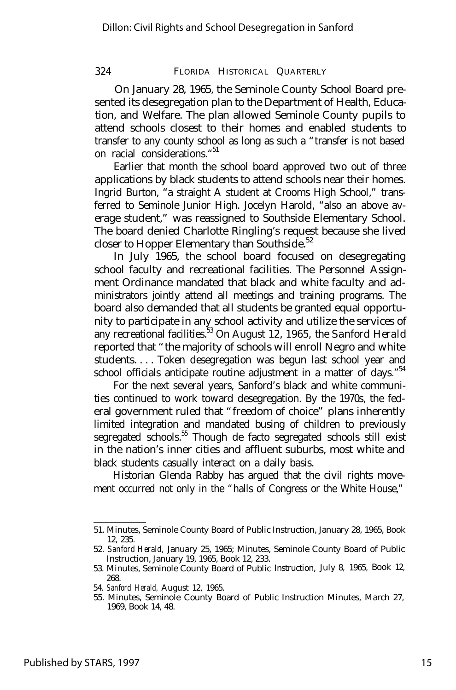On January 28, 1965, the Seminole County School Board presented its desegregation plan to the Department of Health, Education, and Welfare. The plan allowed Seminole County pupils to attend schools closest to their homes and enabled students to transfer to any county school as long as such a "transfer is not based on racial considerations."<sup>51</sup>

Earlier that month the school board approved two out of three applications by black students to attend schools near their homes. Ingrid Burton, "a straight A student at Crooms High School," transferred to Seminole Junior High. Jocelyn Harold, "also an above average student," was reassigned to Southside Elementary School. The board denied Charlotte Ringling's request because she lived closer to Hopper Elementary than Southside.<sup>52</sup>

In July 1965, the school board focused on desegregating school faculty and recreational facilities. The Personnel Assignment Ordinance mandated that black and white faculty and administrators jointly attend all meetings and training programs. The board also demanded that all students be granted equal opportunity to participate in any school activity and utilize the services of any recreational facilities.<sup>53</sup> On August 12, 1965, the *Sanford Herald* reported that "the majority of schools will enroll Negro and white students. . . . Token desegregation was begun last school year and school officials anticipate routine adjustment in a matter of days."<sup>54</sup>

For the next several years, Sanford's black and white communities continued to work toward desegregation. By the 1970s, the federal government ruled that "freedom of choice" plans inherently limited integration and mandated busing of children to previously segregated schools.<sup>55</sup> Though de facto segregated schools still exist in the nation's inner cities and affluent suburbs, most white and black students casually interact on a daily basis.

Historian Glenda Rabby has argued that the civil rights movement occurred not only in the "halls of Congress or the White House,"

<sup>51.</sup> Minutes, Seminole County Board of Public Instruction, January 28, 1965, Book 12, 235.

<sup>52.</sup> *Sanford Herald,* January 25, 1965; Minutes, Seminole County Board of Public Instruction, January 19, 1965, Book 12, 233.

<sup>53.</sup> Minutes, Seminole County Board of Public Instruction, July 8, 1965, Book 12, 268.

<sup>54.</sup> *Sanford Herald,* August 12, 1965.

<sup>55.</sup> Minutes, Seminole County Board of Public Instruction Minutes, March 27, 1969, Book 14, 48.